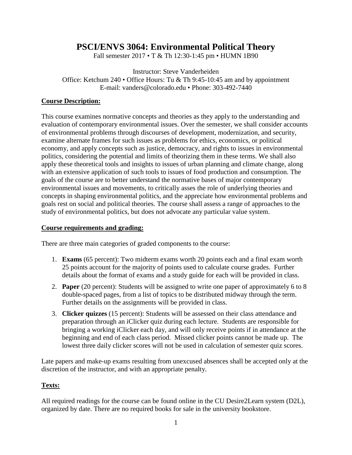# **PSCI/ENVS 3064: Environmental Political Theory**

Fall semester 2017 • T & Th 12:30-1:45 pm • HUMN 1B90

Instructor: Steve Vanderheiden Office: Ketchum 240 • Office Hours: Tu & Th 9:45-10:45 am and by appointment E-mail: vanders@colorado.edu • Phone: 303-492-7440

# **Course Description:**

This course examines normative concepts and theories as they apply to the understanding and evaluation of contemporary environmental issues. Over the semester, we shall consider accounts of environmental problems through discourses of development, modernization, and security, examine alternate frames for such issues as problems for ethics, economics, or political economy, and apply concepts such as justice, democracy, and rights to issues in environmental politics, considering the potential and limits of theorizing them in these terms. We shall also apply these theoretical tools and insights to issues of urban planning and climate change, along with an extensive application of such tools to issues of food production and consumption. The goals of the course are to better understand the normative bases of major contemporary environmental issues and movements, to critically asses the role of underlying theories and concepts in shaping environmental politics, and the appreciate how environmental problems and goals rest on social and political theories. The course shall assess a range of approaches to the study of environmental politics, but does not advocate any particular value system.

# **Course requirements and grading:**

There are three main categories of graded components to the course:

- 1. **Exams** (65 percent): Two midterm exams worth 20 points each and a final exam worth 25 points account for the majority of points used to calculate course grades. Further details about the format of exams and a study guide for each will be provided in class.
- 2. **Paper** (20 percent): Students will be assigned to write one paper of approximately 6 to 8 double-spaced pages, from a list of topics to be distributed midway through the term. Further details on the assignments will be provided in class.
- 3. **Clicker quizzes** (15 percent): Students will be assessed on their class attendance and preparation through an iClicker quiz during each lecture. Students are responsible for bringing a working iClicker each day, and will only receive points if in attendance at the beginning and end of each class period. Missed clicker points cannot be made up. The lowest three daily clicker scores will not be used in calculation of semester quiz scores.

Late papers and make-up exams resulting from unexcused absences shall be accepted only at the discretion of the instructor, and with an appropriate penalty.

# **Texts:**

All required readings for the course can be found online in the CU Desire2Learn system (D2L), organized by date. There are no required books for sale in the university bookstore.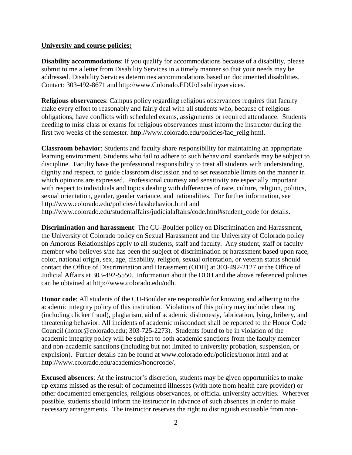# **University and course policies:**

**Disability accommodations**: If you qualify for accommodations because of a disability, please submit to me a letter from Disability Services in a timely manner so that your needs may be addressed. Disability Services determines accommodations based on documented disabilities. Contact: 303-492-8671 and http://www.Colorado.EDU/disabilityservices.

**Religious observances**: Campus policy regarding religious observances requires that faculty make every effort to reasonably and fairly deal with all students who, because of religious obligations, have conflicts with scheduled exams, assignments or required attendance. Students needing to miss class or exams for religious observances must inform the instructor during the first two weeks of the semester. http://www.colorado.edu/policies/fac\_relig.html.

**Classroom behavior**: Students and faculty share responsibility for maintaining an appropriate learning environment. Students who fail to adhere to such behavioral standards may be subject to discipline. Faculty have the professional responsibility to treat all students with understanding, dignity and respect, to guide classroom discussion and to set reasonable limits on the manner in which opinions are expressed. Professional courtesy and sensitivity are especially important with respect to individuals and topics dealing with differences of race, culture, religion, politics, sexual orientation, gender, gender variance, and nationalities. For further information, see http://www.colorado.edu/policies/classbehavior.html and

http://www.colorado.edu/studentaffairs/judicialaffairs/code.html#student\_code for details.

**Discrimination and harassment**: The CU-Boulder policy on Discrimination and Harassment, the University of Colorado policy on Sexual Harassment and the University of Colorado policy on Amorous Relationships apply to all students, staff and faculty. Any student, staff or faculty member who believes s/he has been the subject of discrimination or harassment based upon race, color, national origin, sex, age, disability, religion, sexual orientation, or veteran status should contact the Office of Discrimination and Harassment (ODH) at 303-492-2127 or the Office of Judicial Affairs at 303-492-5550. Information about the ODH and the above referenced policies can be obtained at http://www.colorado.edu/odh.

**Honor code**: All students of the CU-Boulder are responsible for knowing and adhering to the academic integrity policy of this institution. Violations of this policy may include: cheating (including clicker fraud), plagiarism, aid of academic dishonesty, fabrication, lying, bribery, and threatening behavior. All incidents of academic misconduct shall be reported to the Honor Code Council (honor@colorado.edu; 303-725-2273). Students found to be in violation of the academic integrity policy will be subject to both academic sanctions from the faculty member and non-academic sanctions (including but not limited to university probation, suspension, or expulsion). Further details can be found at www.colorado.edu/policies/honor.html and at http://www.colorado.edu/academics/honorcode/.

**Excused absences**: At the instructor's discretion, students may be given opportunities to make up exams missed as the result of documented illnesses (with note from health care provider) or other documented emergencies, religious observances, or official university activities. Wherever possible, students should inform the instructor in advance of such absences in order to make necessary arrangements. The instructor reserves the right to distinguish excusable from non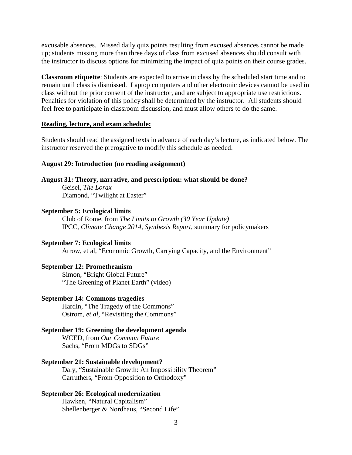excusable absences. Missed daily quiz points resulting from excused absences cannot be made up; students missing more than three days of class from excused absences should consult with the instructor to discuss options for minimizing the impact of quiz points on their course grades.

**Classroom etiquette**: Students are expected to arrive in class by the scheduled start time and to remain until class is dismissed. Laptop computers and other electronic devices cannot be used in class without the prior consent of the instructor, and are subject to appropriate use restrictions. Penalties for violation of this policy shall be determined by the instructor. All students should feel free to participate in classroom discussion, and must allow others to do the same.

#### **Reading, lecture, and exam schedule:**

Students should read the assigned texts in advance of each day's lecture, as indicated below. The instructor reserved the prerogative to modify this schedule as needed.

#### **August 29: Introduction (no reading assignment)**

### **August 31: Theory, narrative, and prescription: what should be done?**

Geisel, *The Lorax* Diamond, "Twilight at Easter"

## **September 5: Ecological limits**

Club of Rome, from *The Limits to Growth (30 Year Update)* IPCC, *Climate Change 2014, Synthesis Report*, summary for policymakers

## **September 7: Ecological limits**

Arrow, et al, "Economic Growth, Carrying Capacity, and the Environment"

#### **September 12: Prometheanism**

Simon, "Bright Global Future" "The Greening of Planet Earth" (video)

#### **September 14: Commons tragedies**

Hardin, "The Tragedy of the Commons" Ostrom, *et al*, "Revisiting the Commons"

#### **September 19: Greening the development agenda**

WCED, from *Our Common Future* Sachs, "From MDGs to SDGs"

### **September 21: Sustainable development?**

Daly, "Sustainable Growth: An Impossibility Theorem" Carruthers, "From Opposition to Orthodoxy"

# **September 26: Ecological modernization**

Hawken, "Natural Capitalism" Shellenberger & Nordhaus, "Second Life"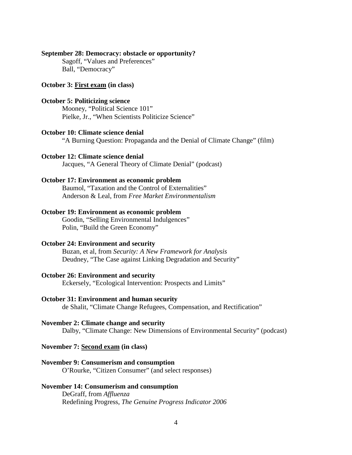# **September 28: Democracy: obstacle or opportunity?**

Sagoff, "Values and Preferences" Ball, "Democracy"

# **October 3: First exam (in class)**

# **October 5: Politicizing science**

Mooney, "Political Science 101" Pielke, Jr., "When Scientists Politicize Science"

# **October 10: Climate science denial**

"A Burning Question: Propaganda and the Denial of Climate Change" (film)

### **October 12: Climate science denial**

Jacques, "A General Theory of Climate Denial" (podcast)

#### **October 17: Environment as economic problem**

Baumol, "Taxation and the Control of Externalities" Anderson & Leal, from *Free Market Environmentalism*

# **October 19: Environment as economic problem**

Goodin, "Selling Environmental Indulgences" Polin, "Build the Green Economy"

#### **October 24: Environment and security**

Buzan, et al, from *Security: A New Framework for Analysis* Deudney, "The Case against Linking Degradation and Security"

# **October 26: Environment and security**

Eckersely, "Ecological Intervention: Prospects and Limits"

## **October 31: Environment and human security**

de Shalit, "Climate Change Refugees, Compensation, and Rectification"

#### **November 2: Climate change and security**

Dalby, "Climate Change: New Dimensions of Environmental Security" (podcast)

### **November 7: Second exam (in class)**

#### **November 9: Consumerism and consumption**

O'Rourke, "Citizen Consumer" (and select responses)

# **November 14: Consumerism and consumption**

DeGraff, from *Affluenza* Redefining Progress, *The Genuine Progress Indicator 2006*